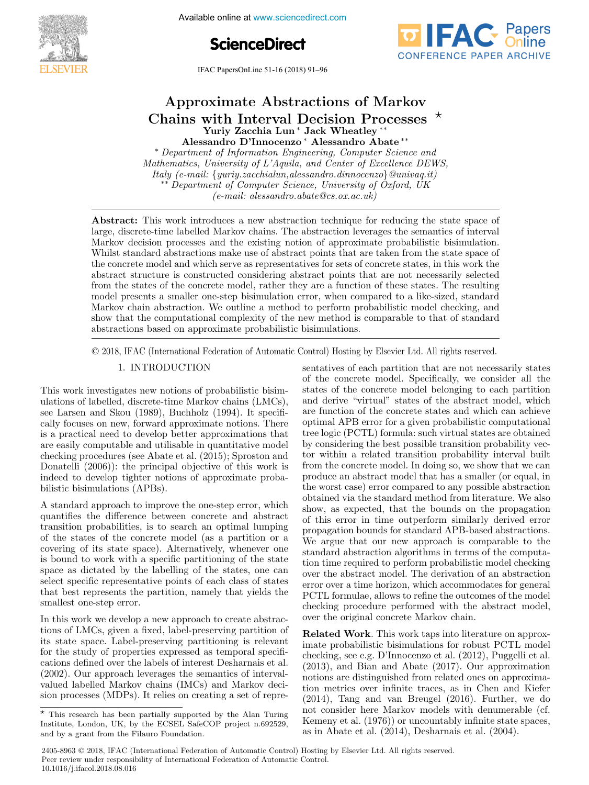





IFAC PapersOnLine  $51-16$  (2018) 91–96

# Approximate Abstractions of Markov Yuriy Zacchia Lun ∗ Jack Wheatley ∗∗ Alessandro D'Innocenzo∗ Alessandro Abate ∗∗ Alessandro D'Innocenzo ∗ Alessandro Abate ∗∗ Yuriy Zacchia Lun ∗Jack Wheatley ∗∗Approximate Abstractions of Markov Chains with Interval Decision Processes <sup>∗</sup> Approximate Abstractions of Markov

Alessandro D'Innocenzo\* Alessandro Abate<sup>\*\*</sup> Alessandro D'Innocenzo\* Alessandro Abate\*\*<br>
\* Department of Information Engineering, Computer Science and<br>
Mathematics, University of L'Aquila, and Center of Excellence DEWS, Mathematics, University of L'Aquila, and Center of Excellence DEWS, Italy (e-mail: {yuriy.zacchialun,alessandro.dinnocenzo}@univaq.it) ∗∗ Department of Computer Science, University of Oxford, UK <sup>\*\*</sup> Department of Computer Science, University of Oxford, UK<br>(e-mail: alessandro.abate@cs.ox.ac.uk) ∗ Department of Information Engineering, Computer Science and ∗ Department of Information Engineering, Computer Science and Alessandro D'Innocenzo ∗ Alessandro Abate ∗∗  $(e\text{-}mail: aless andro.abate@cs.ox.ac.uk)$  →  $(e\text{-}mail: aless andro.abate@cs.ox.ac.uk)$ *Italy (e-mail: {yuriy.zacchialun,alessandro.dinnocenzo}@univaq.it)* ∗∗ Department of Computer Science, University of Oxford, UK  $\mathcal{L}$  Mathematics of Computer Science, University of Oxford, UK

(e-mail: alessandro.abatean)

(e-mail: alessandro.abate@cs.ox.ac.uk)

large, discrete-time labelled Markov chains. The abstraction leverages the semantics of interval Markov decision processes and the existing notion of approximate probabilistic bisimulation. Whilst standard abstractions make use of abstract points that are taken from the state space of the concrete model and which serve as representatives for sets of concrete states, in this work the abstract structure is constructed considering abstract points that are not necessarily selected from the states of the concrete model, rather they are a function of these states. The resulting model presents a smaller one-step bisimulation error, when compared to a like-sized, standard Markov chain abstraction. We outline a method to perform probabilistic model checking, and show that the computational complexity of the new method is comparable to that of standard abstractions based on approximate probabilistic bisimulations. Abstract: This work introduces a new abstraction technique for reducing the state space of Markov chain abstraction. We outline a method to perform probabilistic model checking, and<br>show that the computational complexity of the new method is comparable to that of standard<br>abstractions based on approximate probab rarge, discrete-time labelled Markov chains. I he abstraction leverages the semantics of interval<br>Markov decision processes and the existing notion of approximate probabilistic bisimulation.<br>Whilst standard abstractions ma Markov chain absorption. We obtain the state of perform probabilistic model, and  $\frac{1}{2}$  is stated. The resulting, and show that the computational complexity of the new method is comparable to that of standard Markov chain abstraction. We outline a method to perform probabilistic model checking, and

© 2018, IFAC (International Federation of Automatic Control) Hosting by Elsevier Ltd. All rights reserved.  $\alpha$  absorptions based on approximate probability probability probability  $\alpha$ i, IFAC (International Federation of Automatic Control) Hosting by Elsevier Ltd. All rights reserved.  $\odot$  2018. IFAC (International Federation of Automatic Control) Hosting by Elsevier Ltd. All rights reserved  $\sim$  2010; if its (informational I odditation of Hatomatic bontrof) Holomg

## 1. INTRODUCTION 1. INTRODUCTION

This work investigates new notions of probabilistic bisimulations of labelled, discrete-time Markov chains  $(LMCs)$ ulations of labelled, discrete-time Markov chains (LMCs),<br>see Larsen and Skou (1989), Buchholz (1994). It specifically focuses on new, forward approximate notions. There is a practical need to develop better approximations that are easily computable and utilisable in quantitative model checking procedures (see Abate et al.  $(2015)$ ; Sproston and Donatelli (2006)): the principal objective of this work is indeed to develop tighter notions of approximate probabilistic bisimulations (APBs). cally focuses on new, forward approximate notions. There<br>is a practical need to develop better approximations that<br>are easily computable and utilisable in quantitative model<br>checking procedures (see Abate et al. (2015); Sp 1. International Control of the Control of the Control of the Control of the Control of the Control of the Con<br>1. International Control of the Control of the Control of the Control of the Control of the Control of the Con is a practical need to develop better approximations that are easily computable and utilisable in quantitative model

A standard approach to improve the one-step error, which quantifies the difference between concrete and abstract transition probabilities, is to search an optimal lumping<br>of the states of the concrete model (as a partition or a of the states of the concrete model (as a partition or a covering of its state space). Alternatively, whenever one<br>is bound to work with a specific partitioning of the state is bound to work with a specific partitioning of the state space as dictated by the labelling of the states, one can select specific representative points of each class of states select specific representative points of each class of states<br>that best represents the partition, namely that yields the smallest one-step error. In the we develop a new approach to create absorption.  $\alpha$  difference between concrete and absorption concrete and absorption concrete and absorption concrete and absorption  $\alpha$ 

In this work we develop a new approach to create abstractions of LMCs, given a fixed, label-preserving partition of its state space. Label-preserving partitioning is relevant its state space. Label-preserving partitioning is relevant<br>for the study of properties expressed as temporal specifications defined over the labels of interest Desharmais et al. cations defined over the labels of interest Desharmais et al.<br>(2002). Our approach leverages the semantics of intervalvalued labelled Markov chains (IMCs) and Markov decision processes (MDPs). It relies on creating a set of representatives of each partition that are not necessarily states sentatives of each partition that are not necessarily states<br>of the concrete model. Specifically, we consider all the states of the concrete model belonging to each partition states of the concrete model belonging to each partition<br>and derive "virtual" states of the abstract model, which and derive virtual states of the abstract model, which<br>are function of the concrete states and which can achieve are function of the concrete states and which can achieve<br>optimal APB error for a given probabilistic computational tree logic (PCTL) formula: such virtual states are obtained by considering the best possible transition probability vector within a related transition probability interval built from the concrete model. In doing so, we show that we can produce an abstract model that has a smaller (or equal, in the worst case) error compared to any possible abstraction the worst case) error compared to any possible abstraction<br>obtained via the standard method from literature. We also show, as expected, that the bounds on the propagation of this error in time outperform similarly derived error propagation bounds for standard APB-based abstractions. We argue that our new approach is comparable to the standard abstraction algorithms in terms of the computation time required to perform probabilistic model checking over the abstract model. The derivation of an abstraction  $\frac{1}{2}$  error over a time horizon, which accommodates for general PCTL formulae, allows to refine the outcomes of the model checking procedure performed with the abstract model, over the original concrete Markov chain. from the concrete model. In doing so, we show that we can<br>produce an abstract model that has a smaller (or equal, in<br>the worst case) error compared to any possible abstraction<br>obtained via the standard method from literatu from the concrete model. In doing so, we show that we can<br>produce an abstract model that has a smaller (or equal, in tion time required to perform probabilistic model checking<br>over the abstract model. The derivation of an abstraction<br>error over a time horizon, which accommodates for general<br>PCTL formulae, allows to refine the outcomes of optimal APD error for a given probabilistic computational froquee an abstract model that has a smaller (or equal, in doing so, we can also we can also we can obtained via the standard method from interature. We also over the abstract model. The derivation of an abstraction

Related Work. This work taps into literature on approximate probabilistic bisimulations for robust  $PCTL$  model imate probabilistic bisimulations for robust PCTL model<br>checking, see e.g. D'Innocenzo et al. (2012), Puggelli et al.<br>(2013).  $(2013)$ , and Bian and Abate  $(2017)$ . Our approximation notions are distinguished from related ones on approximation metrics over infinite traces, as in Chen and Kiefer  $(2014)$ , Tang and van Breugel  $(2016)$ . Further, we do not consider here Markov models with denumerable (cf.<br>Kemeny et al. (1976)) or uncountably infinite state spaces, Kemeny et al.  $(1976)$ ) or uncountably infinite state spaces, as in Abate et al.  $(2014)$ , Desharnais et al.  $(2004)$ .  $\frac{1}{2}$  (2014), Tang and van Breugel (2016). Further, we do not define the domain Breugel (2016). Further, we do not define the domain  $\frac{1}{2}$  (2016).

 $\star$  This research has been partially supported by the Alan Turing Institute, London, UK, by the EGSEL SafeCOP project n.692529, and by a grant from the Filauro Foundation.

<sup>2405-8963 © 2018,</sup> IFAC (International Federation of Automatic Control) Hosting by Elsevier Ltd. All rights reserved. Peer review under responsibility of International Federation of Automatic Control. 10.1016/j.ifacol.2018.08.016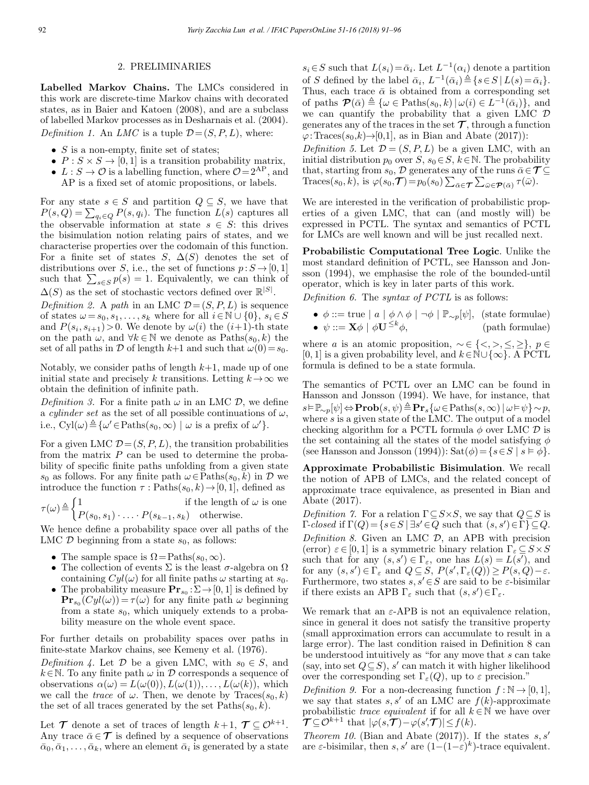## 2. PRELIMINARIES

Labelled Markov Chains. The LMCs considered in this work are discrete-time Markov chains with decorated states, as in Baier and Katoen (2008), and are a subclass of labelled Markov processes as in Desharnais et al. (2004). Definition 1. An LMC is a tuple  $\mathcal{D} = (S, P, L)$ , where:

- $S$  is a non-empty, finite set of states;
- $P: S \times S \rightarrow [0, 1]$  is a transition probability matrix,
- $L : S \to \mathcal{O}$  is a labelling function, where  $\mathcal{O} = 2^{AP}$ , and AP is a fixed set of atomic propositions, or labels.

For any state  $s \in S$  and partition  $Q \subseteq S$ , we have that  $P(s, Q) = \sum_{q_i \in Q} P(s, q_i)$ . The function  $L(s)$  captures all the observable information at state  $s \in S$ : this drives the bisimulation notion relating pairs of states, and we characterise properties over the codomain of this function. For a finite set of states S,  $\Delta(S)$  denotes the set of distributions over S, i.e., the set of functions  $p: S \rightarrow [0, 1]$ such that  $\sum_{s \in S} p(s) = 1$ . Equivalently, we can think of  $\Delta(S)$  as the set of stochastic vectors defined over  $\mathbb{R}^{|S|}$ .

Definition 2. A path in an LMC  $\mathcal{D} = (S, P, L)$  is sequence of states  $\omega = s_0, s_1, \ldots, s_k$  where for all  $i \in \mathbb{N} \cup \{0\}, s_i \in S$ and  $P(s_i, s_{i+1})>0$ . We denote by  $\omega(i)$  the  $(i+1)$ -th state on the path  $\omega$ , and  $\forall k \in \mathbb{N}$  we denote as  $Paths(s_0, k)$  the set of all paths in D of length k+1 and such that  $\omega(0)=s_0$ .

Notably, we consider paths of length  $k+1$ , made up of one initial state and precisely k transitions. Letting  $k \to \infty$  we obtain the definition of infinite path.

Definition 3. For a finite path  $\omega$  in an LMC D, we define a cylinder set as the set of all possible continuations of  $\omega$ , i.e.,  $\text{Cyl}(\omega) \triangleq {\{\omega' \in \text{Paths}(s_0, \infty) \mid \omega \text{ is a prefix of } \omega'\}}.$ 

For a given LMC  $\mathcal{D} = (S, P, L)$ , the transition probabilities from the matrix  $P$  can be used to determine the probability of specific finite paths unfolding from a given state s<sub>0</sub> as follows. For any finite path  $\omega \in \text{Paths}(s_0, k)$  in  $\mathcal D$  we introduce the function  $\tau$ : Paths $(s_0, k) \rightarrow [0, 1]$ , defined as

$$
\tau(\omega) \triangleq \begin{cases} 1 & \text{if the length of } \omega \text{ is one} \\ P(s_0, s_1) \cdot \ldots \cdot P(s_{k-1}, s_k) & \text{otherwise.} \end{cases}
$$

We hence define a probability space over all paths of the LMC  $D$  beginning from a state  $s_0$ , as follows:

- The sample space is  $\Omega = \text{Paths}(s_0, \infty)$ .
- The collection of events  $\Sigma$  is the least  $\sigma$ -algebra on  $\Omega$ containing  $Cyl(\omega)$  for all finite paths  $\omega$  starting at  $s_0$ .
- The probability measure  $\mathbf{Pr}_{s_0} : \Sigma \to [0, 1]$  is defined by  $\mathbf{Pr}_{s_0}(Cyl(\omega)) = \tau(\omega)$  for any finite path  $\omega$  beginning from a state  $s_0$ , which uniquely extends to a probability measure on the whole event space.

For further details on probability spaces over paths in finite-state Markov chains, see Kemeny et al. (1976).

Definition 4. Let  $D$  be a given LMC, with  $s_0 \in S$ , and  $k \in \mathbb{N}$ . To any finite path  $\omega$  in  $\mathcal D$  corresponds a sequence of observations  $\alpha(\omega) = L(\omega(0)), L(\omega(1)), \ldots, L(\omega(k)),$  which we call the *trace* of  $\omega$ . Then, we denote by  $\text{Traces}(s_0, k)$ the set of all traces generated by the set  $Paths(s_0, k)$ .

Let  $\mathcal T$  denote a set of traces of length  $k+1$ ,  $\mathcal T \subset \mathcal O^{k+1}$ . Any trace  $\bar{\alpha} \in \mathcal{T}$  is defined by a sequence of observations  $\bar{\alpha}_0, \bar{\alpha}_1, \ldots, \bar{\alpha}_k$ , where an element  $\bar{\alpha}_i$  is generated by a state  $s_i \in S$  such that  $L(s_i) = \bar{\alpha}_i$ . Let  $L^{-1}(\alpha_i)$  denote a partition of S defined by the label  $\bar{\alpha}_i$ ,  $L^{-1}(\bar{\alpha}_i) \triangleq \{s \in S \mid L(s) = \bar{\alpha}_i\}.$ Thus, each trace  $\bar{\alpha}$  is obtained from a corresponding set of paths  $\mathcal{P}(\bar{\alpha}) \triangleq {\omega \in \text{Paths}(s_0, k) | \omega(i) \in L^{-1}(\bar{\alpha}_i)}$ , and we can quantify the probability that a given LMC D generates any of the traces in the set  $\mathcal T$ , through a function  $\varphi: \text{Traces}(s_0, k) \rightarrow [0,1]$ , as in Bian and Abate (2017)):

Definition 5. Let  $\mathcal{D} = (S, P, L)$  be a given LMC, with an initial distribution  $p_0$  over  $S, s_0 \in S, k \in \mathbb{N}$ . The probability that, starting from  $s_0$ , D generates any of the runs  $\bar{\alpha} \in \mathcal{T} \subseteq$ Traces $(s_0, k)$ , is  $\varphi(s_0, \mathcal{T}) = p_0(s_0) \sum_{\bar{\alpha} \in \mathcal{T}} \sum_{\bar{\omega} \in \mathcal{P}(\bar{\alpha})} \tau(\bar{\omega}).$ 

We are interested in the verification of probabilistic properties of a given LMC, that can (and mostly will) be expressed in PCTL. The syntax and semantics of PCTL for LMCs are well known and will be just recalled next.

Probabilistic Computational Tree Logic. Unlike the most standard definition of PCTL, see Hansson and Jonsson (1994), we emphasise the role of the bounded-until operator, which is key in later parts of this work.

Definition 6. The syntax of PCTL is as follows:

•  $\phi ::= \text{true} \mid a \mid \phi \land \phi \mid \neg \phi \mid \mathbb{P}_{\sim p}[\psi],$  (state formulae) •  $\psi ::= \mathbf{X}\phi \mid \phi\mathbf{U}^{\leq k}\phi,$  (path formulae)

where *a* is an atomic proposition,  $\sim \in \{ \leq, >, \leq, \geq \}, p \in$ [0, 1] is a given probability level, and  $k \in \mathbb{N} \cup \{\infty\}$ . A PCTL formula is defined to be a state formula.

The semantics of PCTL over an LMC can be found in Hansson and Jonsson (1994). We have, for instance, that  $s\vDash \mathbb{P}_{\sim p}[\psi] \Leftrightarrow \mathbf{Prob}(s, \psi) \triangleq \mathbf{Pr}_{s}\{\omega \in \text{Paths}(s, \infty) | \omega \vDash \psi\} \sim p,$ where  $s$  is a given state of the LMC. The output of a model checking algorithm for a PCTL formula  $\phi$  over LMC  $\mathcal D$  is the set containing all the states of the model satisfying  $\phi$ (see Hansson and Jonsson (1994)):  $\text{Sat}(\phi) = \{s \in S \mid s \models \phi\}.$ 

Approximate Probabilistic Bisimulation. We recall the notion of APB of LMCs, and the related concept of approximate trace equivalence, as presented in Bian and Abate (2017).

Definition 7. For a relation  $\Gamma \subseteq S \times S$ , we say that  $Q \subseteq S$  is  $\Gamma\text{-}closed$  if  $\Gamma(Q) = \{s \in S \mid \exists s' \in Q \text{ such that } (s, s') \in \Gamma\} \subseteq Q.$ Definition 8. Given an LMC  $D$ , an APB with precision (error)  $\varepsilon \in [0, 1]$  is a symmetric binary relation  $\Gamma_{\varepsilon} \subseteq S \times S$ such that for any  $(s, s') \in \Gamma_{\varepsilon}$ , one has  $L(s) = L(s')$ , and for any  $(s, s') \in \Gamma_{\varepsilon}$  and  $Q \subseteq S$ ,  $P(s', \Gamma_{\varepsilon}(Q)) \ge P(s, Q) - \varepsilon$ . Furthermore, two states  $s, s' \in S$  are said to be  $\varepsilon$ -bisimilar if there exists an APB  $\Gamma_{\varepsilon}$  such that  $(s, s') \in \Gamma_{\varepsilon}$ .

We remark that an  $\varepsilon$ -APB is not an equivalence relation, since in general it does not satisfy the transitive property (small approximation errors can accumulate to result in a large error). The last condition raised in Definition 8 can be understood intuitively as "for any move that s can take (say, into set  $Q \subseteq S$ ), s' can match it with higher likelihood over the corresponding set  $\Gamma_{\varepsilon}(Q)$ , up to  $\varepsilon$  precision."

Definition 9. For a non-decreasing function  $f : \mathbb{N} \to [0,1],$ we say that states s, s' of an LMC are  $f(k)$ -approximate probabilistic *trace equivalent* if for all  $k \in \mathbb{N}$  we have over  $\mathcal{T} \subseteq \mathcal{O}^{k+1}$  that  $|\varphi(s,\mathcal{T})-\varphi(s,\mathcal{T})| \leq f(k)$ .

*Theorem 10.* (Bian and Abate (2017)). If the states  $s, s'$ are  $\varepsilon$ -bisimilar, then  $s, s'$  are  $(1-(1-\varepsilon)^k)$ -trace equivalent.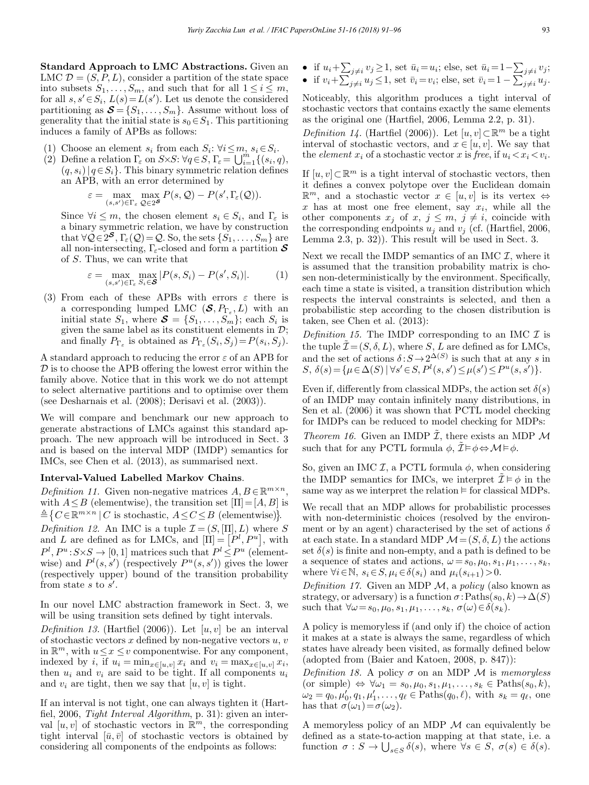Standard Approach to LMC Abstractions. Given an LMC  $\mathcal{D} = (S, P, L)$ , consider a partition of the state space into subsets  $S_1, \ldots, S_m$ , and such that for all  $1 \leq i \leq m$ , for all  $s, s' \in S_i$ ,  $L(s) = L(s')$ . Let us denote the considered partitioning as  $\mathcal{S} = \{S_1, \ldots, S_m\}$ . Assume without loss of generality that the initial state is  $s_0 \in S_1$ . This partitioning induces a family of APBs as follows:

- (1) Choose an element  $s_i$  from each  $S_i: \forall i \leq m, s_i \in S_i$ .
- (2) Define a relation  $\Gamma_{\varepsilon}$  on  $S \times S$ :  $\forall q \in S$ ,  $\Gamma_{\varepsilon} = \bigcup_{i=1}^{m} \{ (s_i, q),$  $(q, s_i)|q \in S_i$ . This binary symmetric relation defines an APB, with an error determined by

$$
\varepsilon = \max_{(s,s') \in \Gamma_{\varepsilon}} \max_{\mathcal{Q} \in 2^{\mathcal{S}}} P(s,\mathcal{Q}) - P(s',\Gamma_{\varepsilon}(\mathcal{Q})).
$$

Since  $\forall i \leq m$ , the chosen element  $s_i \in S_i$ , and  $\Gamma_{\varepsilon}$  is a binary symmetric relation, we have by construction that  $\forall \check{\mathcal{Q}} \in \check{2}^{\mathcal{S}}, \Gamma_{\varepsilon}(\mathcal{Q}) = \mathcal{Q}$ . So, the sets  $\{\check{S}_1,\ldots,\check{S}_m\}$  are all non-intersecting,  $\Gamma_{\varepsilon}$ -closed and form a partition  $S$ of S. Thus, we can write that

$$
\varepsilon = \max_{(s,s') \in \Gamma_{\varepsilon}} \max_{S_i \in \mathcal{S}} |P(s, S_i) - P(s', S_i)|. \tag{1}
$$

(3) From each of these APBs with errors  $\varepsilon$  there is a corresponding lumped LMC  $(\mathcal{S}, P_{\Gamma_{\varepsilon}}, L)$  with an initial state  $S_1$ , where  $\mathbf{S} = \{S_1, \ldots, S_m\}$ ; each  $S_i$  is given the same label as its constituent elements in  $\mathcal{D}$ ; and finally  $P_{\Gamma_{\varepsilon}}$  is obtained as  $P_{\Gamma_{\varepsilon}}(S_i, S_j) = P(s_i, S_j)$ .

A standard approach to reducing the error  $\varepsilon$  of an APB for  $\mathcal D$  is to choose the APB offering the lowest error within the family above. Notice that in this work we do not attempt to select alternative partitions and to optimise over them (see Desharnais et al. (2008); Derisavi et al. (2003)).

We will compare and benchmark our new approach to generate abstractions of LMCs against this standard approach. The new approach will be introduced in Sect. 3 and is based on the interval MDP (IMDP) semantics for IMCs, see Chen et al. (2013), as summarised next.

### Interval-Valued Labelled Markov Chains.

Definition 11. Given non-negative matrices  $A, B \in \mathbb{R}^{m \times n}$ , with  $A \leq B$  (elementwise), the transition set  $[\Pi]=[A, B]$  is  $\triangleq \{ C \in \mathbb{R}^{m \times n} \mid C \text{ is stochastic}, A \leq C \leq B \text{ (elementwise)} \}.$ 

Definition 12. An IMC is a tuple  $\mathcal{I} = (S, [\Pi], L)$  where S and L are defined as for LMCs, and  $[\Pi] = [\dot{P}^l, P^u]$ , with  $P^l, P^u: S \times S \to [0, 1]$  matrices such that  $P^l \leq P^u$  (elementwise) and  $P^l(s, s')$  (respectively  $P^u(s, s')$ ) gives the lower (respectively upper) bound of the transition probability from state  $s$  to  $s'$ .

In our novel LMC abstraction framework in Sect. 3, we will be using transition sets defined by tight intervals.

Definition 13. (Hartfiel (2006)). Let  $[u, v]$  be an interval of stochastic vectors  $x$  defined by non-negative vectors  $u, v$ in  $\mathbb{R}^m$ , with  $u \leq x \leq v$  componentwise. For any component, indexed by i, if  $u_i = \min_{x \in [u,v]} x_i$  and  $v_i = \max_{x \in [u,v]} x_i$ , then  $u_i$  and  $v_i$  are said to be tight. If all components  $u_i$ and  $v_i$  are tight, then we say that  $[u, v]$  is tight.

If an interval is not tight, one can always tighten it (Hartfiel, 2006, Tight Interval Algorithm, p. 31): given an interval [u, v] of stochastic vectors in  $\mathbb{R}^m$ , the corresponding tight interval  $[\bar{u}, \bar{v}]$  of stochastic vectors is obtained by considering all components of the endpoints as follows:

• if  $u_i + \sum_{j \neq i} v_j \geq 1$ , set  $\bar{u}_i = u_i$ ; else, set  $\bar{u}_i = 1 - \sum_{j \neq i} v_j$ ; • if  $v_i + \sum_{j \neq i}^{v_i} u_j \leq 1$ , set  $\bar{v}_i = v_i$ ; else, set  $\bar{v}_i = 1 - \sum_{j \neq i}^{v_i} u_j$ .

Noticeably, this algorithm produces a tight interval of stochastic vectors that contains exactly the same elements as the original one (Hartfiel, 2006, Lemma 2.2, p. 31).

Definition 14. (Hartfiel (2006)). Let  $[u, v] \subset \mathbb{R}^m$  be a tight interval of stochastic vectors, and  $x \in [u, v]$ . We say that the *element*  $x_i$  of a stochastic vector x is free, if  $u_i \lt x_i \lt v_i$ .

If  $[u, v] \subset \mathbb{R}^m$  is a tight interval of stochastic vectors, then it defines a convex polytope over the Euclidean domain  $\mathbb{R}^m$ , and a stochastic vector  $x \in [u, v]$  is its vertex  $\Leftrightarrow$ x has at most one free element, say  $x_i$ , while all the other components  $x_j$  of  $x, j \leq m, j \neq i$ , coincide with the corresponding endpoints  $u_j$  and  $v_j$  (cf. (Hartfiel, 2006, Lemma 2.3, p. 32)). This result will be used in Sect. 3.

Next we recall the IMDP semantics of an IMC  $\mathcal{I}$ , where it is assumed that the transition probability matrix is chosen non-deterministically by the environment. Specifically, each time a state is visited, a transition distribution which respects the interval constraints is selected, and then a probabilistic step according to the chosen distribution is taken, see Chen et al. (2013):

Definition 15. The IMDP corresponding to an IMC  $\mathcal I$  is the tuple  $\tilde{\mathcal{I}} = (S, \delta, L)$ , where S, L are defined as for LMCs, and the set of actions  $\delta : S \to 2^{\Delta(S)}$  is such that at any s in S,  $\delta(s) = {\mu \in \Delta(S) | \forall s' \in S, P^l(s, s') \leq \mu(s') \leq P^u(s, s')}$ .

Even if, differently from classical MDPs, the action set  $\delta(s)$ of an IMDP may contain infinitely many distributions, in Sen et al. (2006) it was shown that PCTL model checking for IMDPs can be reduced to model checking for MDPs:

*Theorem 16.* Given an IMDP  $\tilde{\mathcal{I}}$ , there exists an MDP  $\mathcal{M}$ such that for any PCTL formula  $\phi$ ,  $\tilde{\mathcal{I}} \models \phi \Leftrightarrow \mathcal{M} \models \phi$ .

So, given an IMC  $I$ , a PCTL formula  $\phi$ , when considering the IMDP semantics for IMCs, we interpret  $\mathcal{I} \models \phi$  in the same way as we interpret the relation  $\models$  for classical MDPs.

We recall that an MDP allows for probabilistic processes with non-deterministic choices (resolved by the environment or by an agent) characterised by the set of actions  $\delta$ at each state. In a standard MDP  $\mathcal{M} = (S, \delta, L)$  the actions set  $\delta(s)$  is finite and non-empty, and a path is defined to be a sequence of states and actions,  $\omega = s_0, \mu_0, s_1, \mu_1, \ldots, s_k$ , where  $\forall i \in \mathbb{N}, s_i \in S, \mu_i \in \delta(s_i)$  and  $\mu_i(s_{i+1})>0$ .

Definition 17. Given an MDP  $\mathcal{M}$ , a policy (also known as strategy, or adversary) is a function  $\sigma$ :Paths $(s_0, k) \rightarrow \Delta(S)$ such that  $\forall \omega = s_0, \mu_0, s_1, \mu_1, \ldots, s_k, \sigma(\omega) \in \delta(s_k)$ .

A policy is memoryless if (and only if) the choice of action it makes at a state is always the same, regardless of which states have already been visited, as formally defined below (adopted from (Baier and Katoen, 2008, p. 847)):

Definition 18. A policy  $\sigma$  on an MDP M is memoryless (or simple)  $\Leftrightarrow \forall \omega_1 = s_0, \mu_0, s_1, \mu_1, \ldots, s_k \in \text{Paths}(s_0, k),$  $\omega_2 = q_0, \mu'_0, q_1, \mu'_1, \ldots, q_\ell \in \text{Paths}(q_0, \ell), \text{ with } s_k = q_\ell, \text{ one}$ has that  $\sigma(\omega_1) = \sigma(\omega_2)$ .

A memoryless policy of an MDP M can equivalently be defined as a state-to-action mapping at that state, i.e. a function  $\sigma : S \to \bigcup_{s \in S} \delta(s)$ , where  $\forall s \in S$ ,  $\sigma(s) \in \delta(s)$ .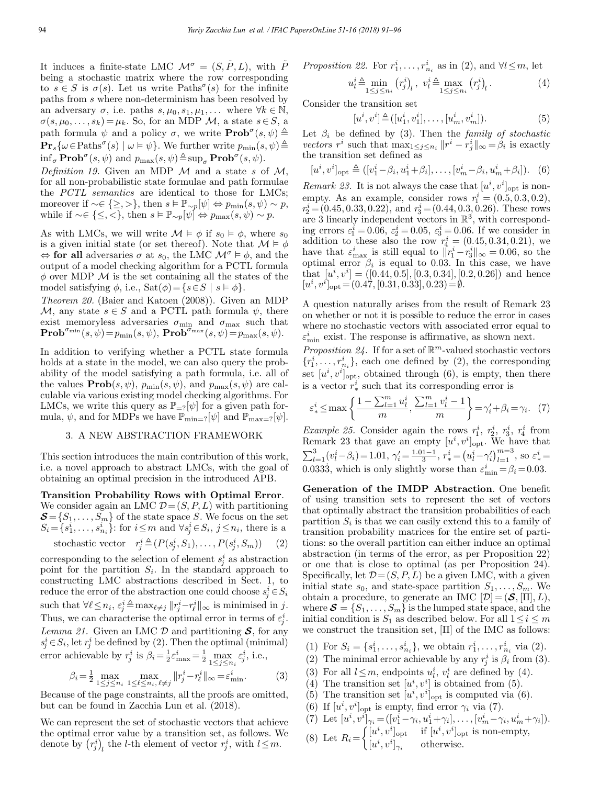It induces a finite-state LMC  $\mathcal{M}^{\sigma} = (S, \tilde{P}, L)$ , with  $\tilde{P}$ being a stochastic matrix where the row corresponding to  $s \in S$  is  $\sigma(s)$ . Let us write Paths<sup> $\sigma(s)$ </sup> for the infinite paths from s where non-determinism has been resolved by an adversary  $\sigma$ , i.e. paths  $s, \mu_0, s_1, \mu_1, \ldots$  where  $\forall k \in \mathbb{N}$ ,  $\sigma(s, \mu_0, \ldots, s_k) = \mu_k$ . So, for an MDP M, a state  $s \in S$ , a path formula  $\psi$  and a policy  $\sigma$ , we write  $\mathbf{Prob}^{\sigma}(s, \psi) \triangleq$  $\mathbf{Pr}_s\{\omega \in \text{Paths}^\sigma(s) \mid \omega \models \psi\}$ . We further write  $p_{\min}(s, \psi) \triangleq$  $\inf_{\sigma} \mathbf{Prob}^{\sigma}(s, \psi)$  and  $p_{\max}(s, \psi) \triangleq \sup_{\sigma} \mathbf{Prob}^{\sigma}(s, \psi)$ .

Definition 19. Given an MDP  $\mathcal M$  and a state s of  $\mathcal M$ , for all non-probabilistic state formulae and path formulae the PCTL semantics are identical to those for LMCs; moreover if  $\sim \in \{\geq, >\}$ , then  $s \vDash \mathbb{P}_{\sim p}[\psi] \Leftrightarrow p_{\min}(s, \psi) \sim p$ , while if  $\sim \in \{\leq, <\},\$  then  $s \vDash \mathbb{P}_{\sim p}[\psi] \Leftrightarrow p_{\max}(s, \psi) \sim p.$ 

As with LMCs, we will write  $\mathcal{M} \models \phi$  if  $s_0 \models \phi$ , where  $s_0$ is a given initial state (or set thereof). Note that  $\mathcal{M} \models \phi$  $\Leftrightarrow$  for all adversaries  $\sigma$  at  $s_0$ , the LMC  $\mathcal{M}^{\sigma} \models \phi$ , and the output of a model checking algorithm for a PCTL formula  $\phi$  over MDP  $\mathcal M$  is the set containing all the states of the model satisfying  $\phi$ , i.e.,  $\text{Sat}(\phi) = \{s \in S \mid s \models \phi\}.$ 

Theorem 20. (Baier and Katoen (2008)). Given an MDP  $\mathcal{M}$ , any state  $s \in S$  and a PCTL path formula  $\psi$ , there exist memoryless adversaries  $\sigma_{\min}$  and  $\sigma_{\max}$  such that  $\mathbf{Prob}^{\sigma_{\min}}(s, \psi) \!=\! p_{\min}(s, \psi), \, \mathbf{Prob}^{\sigma_{\max}}(s, \psi) \!=\! p_{\max}(s, \psi).$ 

In addition to verifying whether a PCTL state formula holds at a state in the model, we can also query the probability of the model satisfying a path formula, i.e. all of the values  $\textbf{Prob}(s, \psi)$ ,  $p_{\min}(s, \psi)$ , and  $p_{\max}(s, \psi)$  are calculable via various existing model checking algorithms. For LMCs, we write this query as  $\mathbb{P}_{=?}[\psi]$  for a given path formula,  $\psi$ , and for MDPs we have  $\mathbb{P}_{\min=?}[\psi]$  and  $\mathbb{P}_{\max=?}[\psi]$ .

#### 3. A NEW ABSTRACTION FRAMEWORK

This section introduces the main contribution of this work, i.e. a novel approach to abstract LMCs, with the goal of obtaining an optimal precision in the introduced APB.

Transition Probability Rows with Optimal Error.

We consider again an LMC  $\mathcal{D} = (S, P, L)$  with partitioning  $\mathcal{S} = \{S_1, \ldots, S_m\}$  of the state space S. We focus on the set  $S_i = \{s_1^i, \ldots, s_{n_i}^i\}$ : for  $i \leq m$  and  $\forall s_j^i \in S_i$ ,  $j \leq n_i$ , there is a

stochastic vector 
$$
r_j^i \triangleq (P(s_j^i, S_1), \dots, P(s_j^i, S_m))
$$
 (2)

corresponding to the selection of element  $s_j^i$  as abstraction point for the partition  $S_i$ . In the standard approach to constructing LMC abstractions described in Sect. 1, to reduce the error of the abstraction one could choose  $s^i_j \in S_i$ such that  $\forall \ell \leq n_i$ ,  $\varepsilon_j^i \triangleq \max_{\ell \neq j} ||r_j^i - r_\ell^i||_\infty$  is minimised in j. Thus, we can characterise the optimal error in terms of  $\varepsilon_j^i$ . Lemma 21. Given an LMC  $D$  and partitioning  $S$ , for any  $s_j^i \in S_i$ , let  $r_j^i$  be defined by (2). Then the optimal (minimal) error achievable by  $r_j^i$  is  $\beta_i = \frac{1}{2} \varepsilon_{\text{max}}^i = \frac{1}{2} \max_{1 \leq j \leq n_i} \varepsilon_j^i$ , i.e.,

$$
\beta_i = \frac{1}{2} \max_{1 \le j \le n_i} \max_{1 \le \ell \le n_i, \ell \ne j} ||r_j^i - r_\ell^i||_{\infty} = \varepsilon_{\min}^i. \tag{3}
$$

Because of the page constraints, all the proofs are omitted, but can be found in Zacchia Lun et al. (2018).

We can represent the set of stochastic vectors that achieve the optimal error value by a transition set, as follows. We denote by  $(r_j^i)_l$  the *l*-th element of vector  $r_j^i$ , with  $l \leq m$ .

*Proposition 22.* For 
$$
r_1^i, \ldots, r_{n_i}^i
$$
 as in (2), and  $\forall l \leq m$ , let

$$
u_l^i \triangleq \min_{1 \le j \le n_i} (r_j^i)_l, \quad v_l^i \triangleq \max_{1 \le j \le n_i} (r_j^i)_l. \tag{4}
$$

Consider the transition set

$$
[u^i, v^i] \triangleq ([u_1^i, v_1^i], \dots, [u_m^i, v_m^i]). \tag{5}
$$

Let  $\beta_i$  be defined by (3). Then the family of stochastic vectors  $r^i$  such that  $\max_{1 \leq j \leq n_i} ||r^i - r^i_j||_{\infty} = \beta_i$  is exactly the transition set defined as

$$
[u^{i}, v^{i}]_{\text{opt}} \triangleq ([v_{1}^{i} - \beta_{i}, u_{1}^{i} + \beta_{i}], \dots, [v_{m}^{i} - \beta_{i}, u_{m}^{i} + \beta_{i}]). \quad (6)
$$

Remark 23. It is not always the case that  $[u^i, v^i]_{\text{opt}}$  is nonempty. As an example, consider rows  $r_1^i = (0.5, 0.3, 0.2)$ ,  $r_2^i = (0.45, 0.33, 0.22), \text{ and } r_3^i = (0.44, 0.3, 0.26).$  These rows are 3 linearly independent vectors in  $\mathbb{R}^3$ , with corresponding errors  $\varepsilon_1^i = 0.06$ ,  $\varepsilon_2^i = 0.05$ ,  $\varepsilon_3^i = 0.06$ . If we consider in addition to these also the row  $r_4^i = (0.45, 0.34, 0.21)$ , we have that  $\varepsilon_{\text{max}}^i$  is still equal to  $||r_1^i - r_3^i||_{\infty} = 0.06$ , so the optimal error  $\beta_i$  is equal to 0.03. In this case, we have that  $[u^i, v^i] = ([0.44, 0.5], [0.3, 0.34], [0.2, 0.26])$  and hence  $[u^i, v^i]_{\text{opt}} = (0.47, [0.31, 0.33], 0.23) = \emptyset.$ 

A question naturally arises from the result of Remark 23 on whether or not it is possible to reduce the error in cases where no stochastic vectors with associated error equal to  $\varepsilon_{\rm min}^i$  exist. The response is affirmative, as shown next.

*Proposition 24.* If for a set of  $\mathbb{R}^m$ -valued stochastic vectors  $\{r_1^i, \ldots, r_{n_i}^i\}$ , each one defined by (2), the corresponding set  $[u^i, v^i]_{\text{opt}}$ , obtained through (6), is empty, then there is a vector  $r^i_*$  such that its corresponding error is

$$
\varepsilon_{*}^{i} \leq \max\left\{ \frac{1 - \sum_{l=1}^{m} u_{l}^{i}}{m}, \frac{\sum_{l=1}^{m} v_{l}^{i} - 1}{m} \right\} = \gamma_{i}' + \beta_{i} = \gamma_{i}. \tag{7}
$$

Example 25. Consider again the rows  $r_1^i$ ,  $r_2^i$ ,  $r_3^i$ ,  $r_4^i$  from Remark 23 that gave an empty  $[u^i, v^i]_{\text{opt}}$ . We have that  $\sum_{l=1}^{3} (v_l^i - \beta_i) = 1.01, \; \gamma_i' = \frac{1.01 - 1}{3}, \; r_*^i = (u_l^i - \gamma_i')_{l=1}^{m=3}, \; \text{so} \; \varepsilon_*^i =$ 0.0333, which is only slightly worse than  $\varepsilon_{\min}^i = \beta_i = 0.03$ .

Generation of the IMDP Abstraction. One benefit of using transition sets to represent the set of vectors that optimally abstract the transition probabilities of each partition  $S_i$  is that we can easily extend this to a family of transition probability matrices for the entire set of partitions: so the overall partition can either induce an optimal abstraction (in terms of the error, as per Proposition 22) or one that is close to optimal (as per Proposition 24). Specifically, let  $\mathcal{D} = (S, P, L)$  be a given LMC, with a given initial state  $s_0$ , and state-space partition  $S_1, \ldots, S_m$ . We obtain a procedure, to generate an IMC  $[\mathcal{D}]=(\mathcal{S}, [\Pi], L),$ where  $\mathcal{S} = \{S_1, \ldots, S_m\}$  is the lumped state space, and the initial condition is  $S_1$  as described below. For all  $1 \leq i \leq m$ we construct the transition set,  $[\Pi]$  of the IMC as follows:

- (1) For  $S_i = \{s_1^i, \ldots, s_{n_i}^i\}$ , we obtain  $r_1^i, \ldots, r_{n_i}^i$  via (2).
- (2) The minimal error achievable by any  $r_j^i$  is  $\beta_i$  from (3).
- (3) For all  $l \leq m$ , endpoints  $u_l^i$ ,  $v_l^i$  are defined by (4).
- (4) The transition set  $[u^i, v^i]$  is obtained from (5).
- (5) The transition set  $[u^i, v^i]_{opt}$  is computed via (6).
- (6) If  $[u^i, v^i]_{\text{opt}}$  is empty, find error  $\gamma_i$  via (7).
- (7) Let  $[u^i, v^i]_{\gamma_i} = ([v_1^i \gamma_i, u_1^i + \gamma_i], \dots, [v_m^i \gamma_i, u_m^i + \gamma_i]).$ (8) Let  $R_i =$  $\int [u^i, v^i]_{\text{opt}}$  if  $[u^i, v^i]_{\text{opt}}$  is non-empty,  $[u^i, v^i]_{\gamma_i}$  otherwise.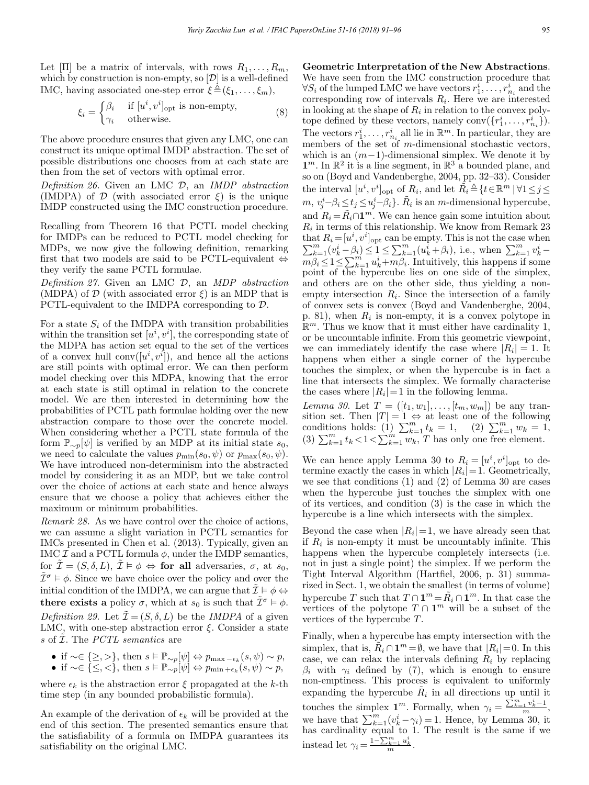Let  $[\Pi]$  be a matrix of intervals, with rows  $R_1, \ldots, R_m$ , which by construction is non-empty, so  $[D]$  is a well-defined IMC, having associated one-step error  $\xi \triangleq (\xi_1,\ldots,\xi_m)$ ,

$$
\xi_i = \begin{cases}\n\beta_i & \text{if } [u^i, v^i]_{\text{opt}} \text{ is non-empty,} \\
\gamma_i & \text{otherwise.} \n\end{cases}
$$
\n(8)

The above procedure ensures that given any LMC, one can construct its unique optimal IMDP abstraction. The set of possible distributions one chooses from at each state are then from the set of vectors with optimal error.

Definition 26. Given an LMC D, an IMDP abstraction (IMDPA) of  $\mathcal D$  (with associated error  $\xi$ ) is the unique IMDP constructed using the IMC construction procedure.

Recalling from Theorem 16 that PCTL model checking for IMDPs can be reduced to PCTL model checking for MDPs, we now give the following definition, remarking first that two models are said to be PCTL-equivalent  $\Leftrightarrow$ they verify the same PCTL formulae.

Definition 27. Given an LMC D, an MDP abstraction (MDPA) of  $\mathcal D$  (with associated error  $\xi$ ) is an MDP that is PCTL-equivalent to the IMDPA corresponding to D.

For a state  $S_i$  of the IMDPA with transition probabilities within the transition set  $[u^i, v^i]$ , the corresponding state of the MDPA has action set equal to the set of the vertices of a convex hull conv $([u^i, v^i])$ , and hence all the actions are still points with optimal error. We can then perform model checking over this MDPA, knowing that the error at each state is still optimal in relation to the concrete model. We are then interested in determining how the probabilities of PCTL path formulae holding over the new abstraction compare to those over the concrete model. When considering whether a PCTL state formula of the form  $\mathbb{P}_{\sim p}[\psi]$  is verified by an MDP at its initial state  $s_0$ , we need to calculate the values  $p_{\min}(s_0, \psi)$  or  $p_{\max}(s_0, \psi)$ . We have introduced non-determinism into the abstracted model by considering it as an MDP, but we take control over the choice of actions at each state and hence always ensure that we choose a policy that achieves either the maximum or minimum probabilities.

Remark 28. As we have control over the choice of actions, we can assume a slight variation in PCTL semantics for IMCs presented in Chen et al. (2013). Typically, given an IMC  $\mathcal I$  and a PCTL formula  $\phi$ , under the IMDP semantics, for  $\tilde{\mathcal{I}} = (S, \delta, L), \tilde{\mathcal{I}} \models \phi \Leftrightarrow$  for all adversaries,  $\sigma$ , at  $s_0$ ,  $\tilde{\mathcal{I}}^{\sigma} \models \phi$ . Since we have choice over the policy and over the initial condition of the IMDPA, we can argue that  $\tilde{\mathcal{I}} \models \phi \Leftrightarrow$ **there exists a** policy  $\sigma$ , which at  $s_0$  is such that  $\tilde{\mathcal{I}}^{\sigma} \models \phi$ . Definition 29. Let  $\mathcal{I} = (S, \delta, L)$  be the IMDPA of a given LMC, with one-step abstraction error  $\xi$ . Consider a state s of  $\tilde{\mathcal{I}}$ . The *PCTL semantics* are

\n- if 
$$
\sim \in \{\geq,>\}
$$
, then  $s \vDash \mathbb{P}_{\sim p}[\psi] \Leftrightarrow p_{\max-\epsilon_k}(s,\psi) \sim p$ ,
\n- if  $\sim \in \{\leq, <\}$ , then  $s \vDash \mathbb{P}_{\sim p}[\psi] \Leftrightarrow p_{\min+\epsilon_k}(s,\psi) \sim p$ ,
\n

where  $\epsilon_k$  is the abstraction error  $\xi$  propagated at the k-th time step (in any bounded probabilistic formula).

An example of the derivation of  $\epsilon_k$  will be provided at the end of this section. The presented semantics ensure that the satisfiability of a formula on IMDPA guarantees its satisfiability on the original LMC.

Geometric Interpretation of the New Abstractions. We have seen from the IMC construction procedure that  $\forall S_i$  of the lumped LMC we have vectors  $r_1^i, \ldots, r_{n_i}^i$  and the corresponding row of intervals  $R_i$ . Here we are interested in looking at the shape of  $R_i$  in relation to the convex polytope defined by these vectors, namely  $\text{conv}(\lbrace r_1^i, \ldots, r_{n_i}^i \rbrace)$ . The vectors  $r_1^i, \ldots, r_{n_i}^i$  all lie in  $\mathbb{R}^m$ . In particular, they are members of the set of  $m$ -dimensional stochastic vectors, which is an  $(m-1)$ -dimensional simplex. We denote it by  $\mathbf{1}^m$ . In  $\mathbb{R}^2$  it is a line segment, in  $\mathbb{R}^3$  a bounded plane, and so on (Boyd and Vandenberghe, 2004, pp. 32–33). Consider the interval  $[u^i, v^i]_{\text{opt}}$  of  $R_i$ , and let  $\tilde{R}_i \triangleq \{t \in \mathbb{R}^m \mid \forall 1 \leq j \leq$  $m, v_j^i-\beta_i \le t_j \le u_j^i-\beta_i$ .  $\tilde{R}_i$  is an m-dimensional hypercube, and  $R_i = \tilde{R}_i \cap \mathbf{1}^m$ . We can hence gain some intuition about  $R_i$  in terms of this relationship. We know from Remark 23 that  $R_i = [u^i, v^i]_{\text{opt}}$  can be empty. This is not the case when  $\sum_{k=1}^{m} (v_k^i - \beta_i) \leq 1 \leq \sum_{k=1}^{m} (u_k^i + \beta_i)$ , i.e., when  $\sum_{k=1}^{m} v_k^i - m\beta_i \leq 1 \leq \sum_{k=1}^{m} u_k^i + m\beta_i$ . Intuitively, this happens if some point of the hypercube lies on one side of the simplex, and others are on the other side, thus yielding a nonempty intersection  $R_i$ . Since the intersection of a family of convex sets is convex (Boyd and Vandenberghe, 2004, p. 81), when  $R_i$  is non-empty, it is a convex polytope in  $\mathbb{R}^m$ . Thus we know that it must either have cardinality 1, or be uncountable infinite. From this geometric viewpoint, we can immediately identify the case where  $|R_i|=1$ . It happens when either a single corner of the hypercube touches the simplex, or when the hypercube is in fact a line that intersects the simplex. We formally characterise the cases where  $|R_i|=1$  in the following lemma.

*Lemma 30.* Let  $T = ([t_1, w_1], ..., [t_m, w_m])$  be any transition set. Then  $|T| = 1 \Leftrightarrow$  at least one of the following conditions holds: (1)  $\sum_{k=1}^{m} t_k = 1$ , (2)  $\sum_{k=1}^{m} w_k = 1$ , (3)  $\sum_{k=1}^{m} t_k < 1 < \sum_{k=1}^{m} w_k$ , T has only one free element.

We can hence apply Lemma 30 to  $R_i = [u^i, v^i]_{\text{opt}}$  to determine exactly the cases in which  $|R_i|=1$ . Geometrically, we see that conditions (1) and (2) of Lemma 30 are cases when the hypercube just touches the simplex with one of its vertices, and condition (3) is the case in which the hypercube is a line which intersects with the simplex.

Beyond the case when  $|R_i|=1$ , we have already seen that if  $R_i$  is non-empty it must be uncountably infinite. This happens when the hypercube completely intersects (i.e. not in just a single point) the simplex. If we perform the Tight Interval Algorithm (Hartfiel, 2006, p. 31) summarized in Sect. 1, we obtain the smallest (in terms of volume) hypercube T such that  $T \cap \mathbf{1}^m = \tilde{R}_i \cap \mathbf{1}^m$ . In that case the vertices of the polytope  $T \cap \mathbf{1}^m$  will be a subset of the vertices of the hypercube T.

Finally, when a hypercube has empty intersection with the simplex, that is,  $\tilde{R}_i \cap \mathbf{1}^m = \emptyset$ , we have that  $|R_i| = 0$ . In this case, we can relax the intervals defining  $R_i$  by replacing  $\beta_i$  with  $\gamma_i$  defined by (7), which is enough to ensure non-emptiness. This process is equivalent to uniformly expanding the hypercube  $R_i$  in all directions up until it touches the simplex  $\mathbf{1}^m$ . Formally, when  $\gamma_i = \frac{\sum_{k=1}^m v_k^i - 1}{m}$ , we have that  $\sum_{k=1}^{m} (v_k^i - \gamma_i) = 1$ . Hence, by Lemma 30, it has cardinality equal to 1. The result is the same if we instead let  $\gamma_i = \frac{1 - \sum_{k=1}^m u_k^i}{m}$ .